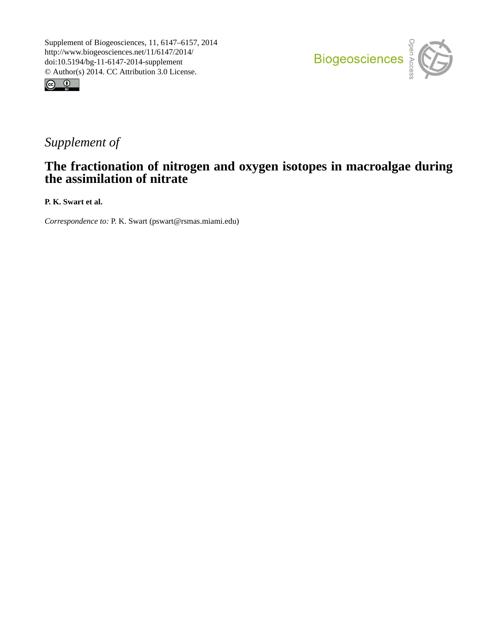



## *Supplement of*

## **The fractionation of nitrogen and oxygen isotopes in macroalgae during the assimilation of nitrate**

**P. K. Swart et al.**

*Correspondence to:* P. K. Swart (pswart@rsmas.miami.edu)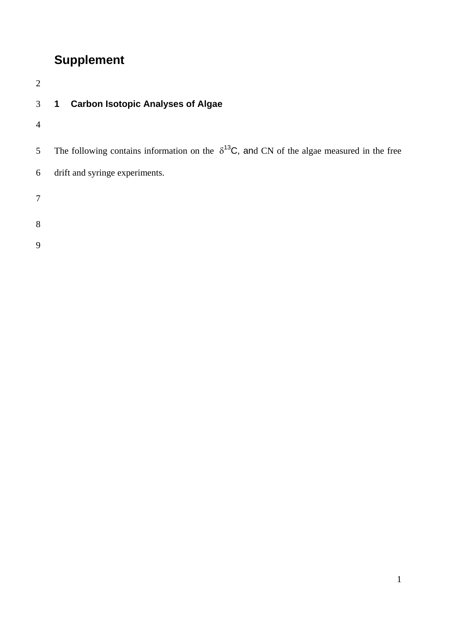## **Supplement**

| $\overline{2}$ |                                                                                                     |
|----------------|-----------------------------------------------------------------------------------------------------|
| 3              | <b>Carbon Isotopic Analyses of Algae</b><br>1                                                       |
| $\overline{4}$ |                                                                                                     |
| 5 <sup>5</sup> | The following contains information on the $\delta^{13}C$ , and CN of the algae measured in the free |
| 6              | drift and syringe experiments.                                                                      |
| 7              |                                                                                                     |
| 8              |                                                                                                     |
| 9              |                                                                                                     |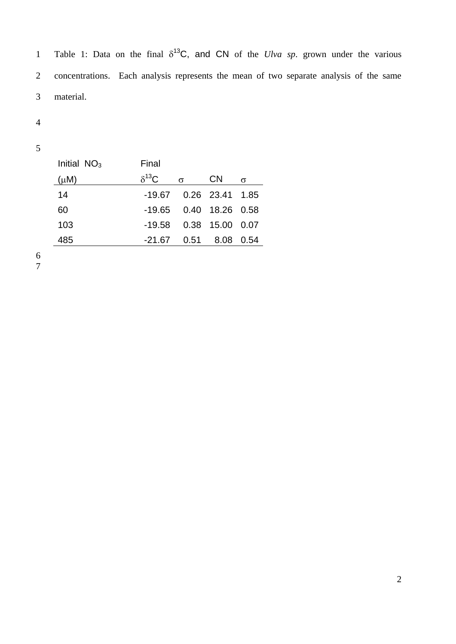1 Table 1: Data on the final  $\delta^{13}C$ , and CN of the *Ulva sp*. grown under the various concentrations. Each analysis represents the mean of two separate analysis of the same material.

| Initial $NO3$ | Final           |          |                           |          |
|---------------|-----------------|----------|---------------------------|----------|
| $(\mu M)$     | $\delta^{13}$ C | $\sigma$ | <b>CN</b>                 | $\sigma$ |
| 14            |                 |          | $-19.67$ 0.26 23.41 1.85  |          |
| 60            |                 |          | -19.65  0.40  18.26  0.58 |          |
| 103           | -19.58          |          | 0.38 15.00                | - 0.07   |
| 485           | -21.67          | 0.51     | 8.08                      | (0.54)   |